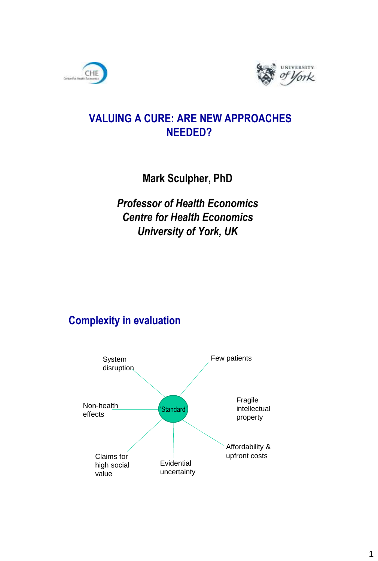



## **VALUING A CURE: ARE NEW APPROACHES NEEDED?**

**Mark Sculpher, PhD**

*Professor of Health Economics Centre for Health Economics University of York, UK*

## **Complexity in evaluation**

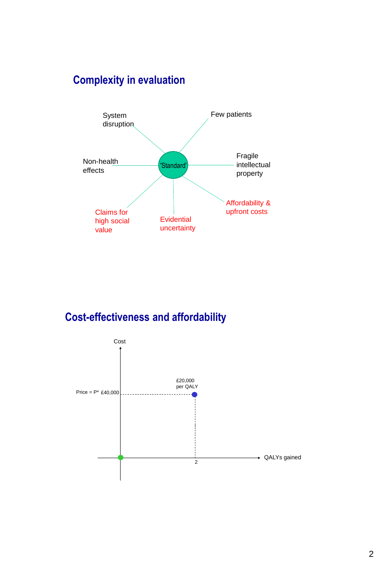# **Complexity in evaluation**



## **Cost-effectiveness and affordability**

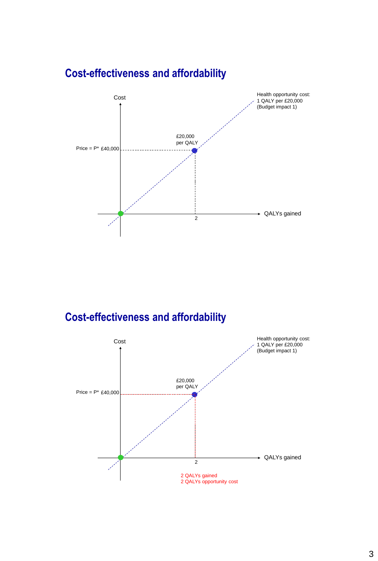

## **Cost-effectiveness and affordability**



#### 3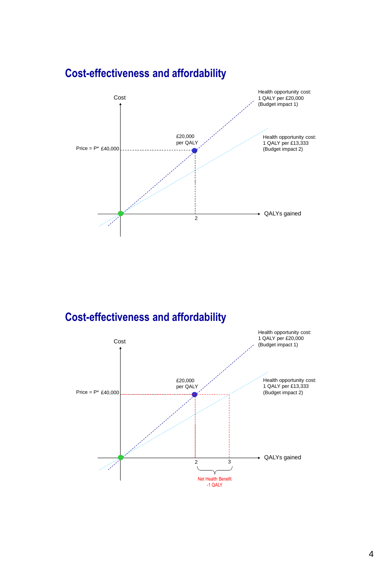

## **Cost-effectiveness and affordability**

## **Cost-effectiveness and affordability**

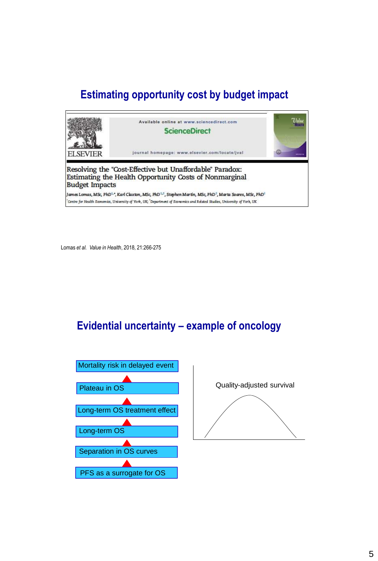## **Estimating opportunity cost by budget impact**



Lomas *et al. Value in Health*, 2018, 21:266-275

### **Evidential uncertainty – example of oncology**



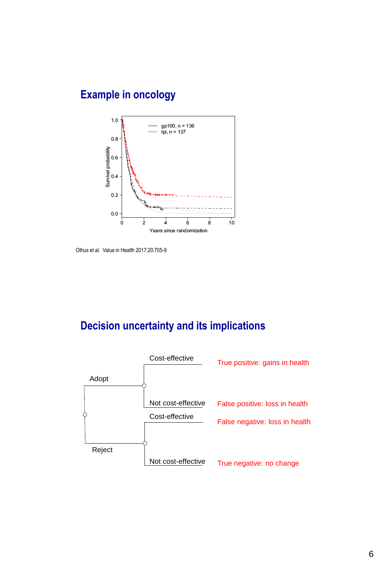## **Example in oncology**



Othus et al. Value in Health 2017;20:705-9

## **Decision uncertainty and its implications**

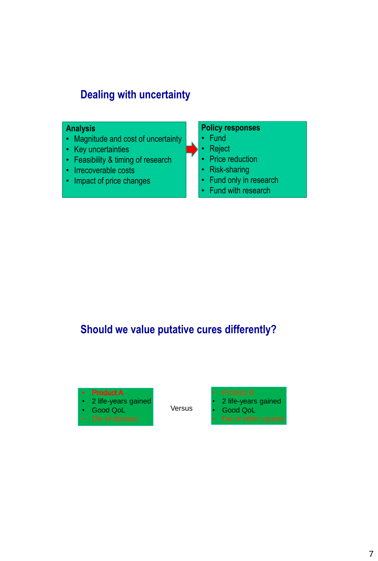## **Dealing with uncertainty**

#### **Analysis**

- Magnitude and cost of uncertainty
- Key uncertainties
- Feasibility & timing of research
- Irrecoverable costs
- Impact of price changes

#### **Policy responses**

- Fund
- Reject
- Price reduction
- Risk-sharing
- Fund only in research
- Fund with research

## **Should we value putative cures differently?**



Versus